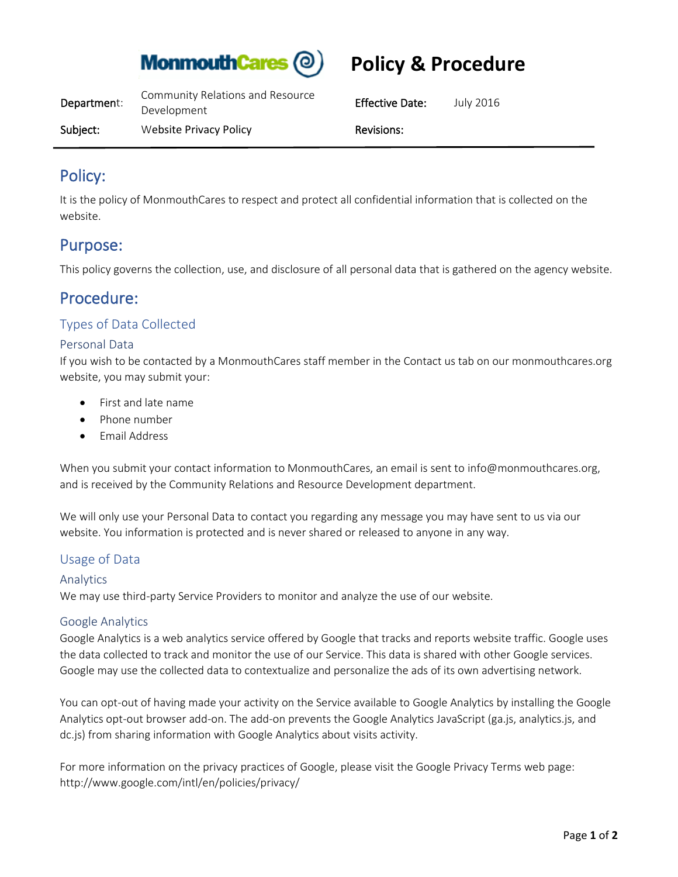

# **Policy & Procedure**

| Department: | Community Relations and Resource<br>Development | <b>Effective Date:</b> | July 2016 |
|-------------|-------------------------------------------------|------------------------|-----------|
| Subject:    | Website Privacy Policy                          | Revisions:             |           |

## Policy:

It is the policy of MonmouthCares to respect and protect all confidential information that is collected on the website.

## Purpose:

This policy governs the collection, use, and disclosure of all personal data that is gathered on the agency website.

# Procedure:

### Types of Data Collected

### Personal Data

If you wish to be contacted by a MonmouthCares staff member in the Contact us tab on our monmouthcares.org website, you may submit your:

- First and late name
- Phone number
- Email Address

When you submit your contact information to MonmouthCares, an email is sent to info@monmouthcares.org, and is received by the Community Relations and Resource Development department.

We will only use your Personal Data to contact you regarding any message you may have sent to us via our website. You information is protected and is never shared or released to anyone in any way.

### Usage of Data

#### Analytics

We may use third-party Service Providers to monitor and analyze the use of our website.

#### Google Analytics

Google Analytics is a web analytics service offered by Google that tracks and reports website traffic. Google uses the data collected to track and monitor the use of our Service. This data is shared with other Google services. Google may use the collected data to contextualize and personalize the ads of its own advertising network.

You can opt-out of having made your activity on the Service available to Google Analytics by installing the Google Analytics opt-out browser add-on. The add-on prevents the Google Analytics JavaScript (ga.js, analytics.js, and dc.js) from sharing information with Google Analytics about visits activity.

For more information on the privacy practices of Google, please visit the Google Privacy Terms web page: <http://www.google.com/intl/en/policies/privacy/>